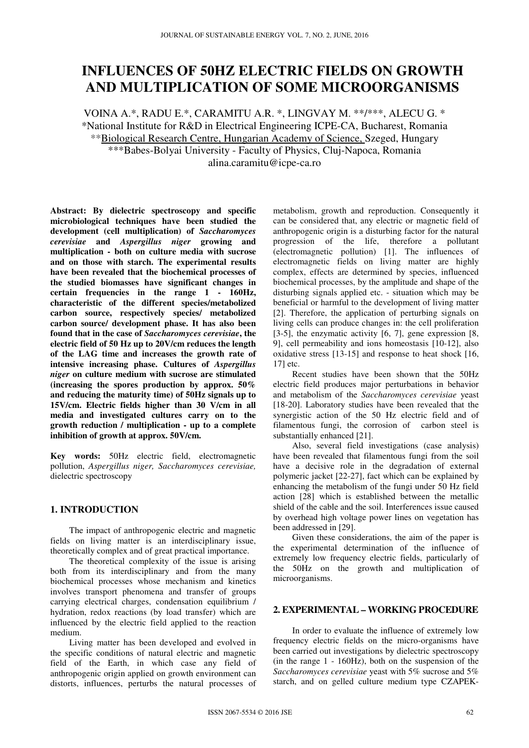# **INFLUENCES OF 50HZ ELECTRIC FIELDS ON GROWTH AND MULTIPLICATION OF SOME MICROORGANISMS**

VOINA A.\*, RADU E.\*, CARAMITU A.R. \*, LINGVAY M. \*\*/\*\*\*, ALECU G. \* \*National Institute for R&D in Electrical Engineering ICPE-CA, Bucharest, Romania \*\*Biological Research Centre, Hungarian Academy of Science, Szeged, Hungary \*\*\*Babes-Bolyai University - Faculty of Physics, Cluj-Napoca, Romania alina.caramitu@icpe-ca.ro

**Abstract: By dielectric spectroscopy and specific microbiological techniques have been studied the development (cell multiplication) of** *Saccharomyces cerevisiae* **and** *Aspergillus niger* **growing and multiplication - both on culture media with sucrose and on those with starch. The experimental results have been revealed that the biochemical processes of the studied biomasses have significant changes in certain frequencies in the range 1 - 160Hz, characteristic of the different species/metabolized carbon source, respectively species/ metabolized carbon source/ development phase. It has also been found that in the case of** *Saccharomyces cerevisiae***, the electric field of 50 Hz up to 20V/cm reduces the length of the LAG time and increases the growth rate of intensive increasing phase. Cultures of** *Aspergillus niger* **on culture medium with sucrose are stimulated (increasing the spores production by approx. 50% and reducing the maturity time) of 50Hz signals up to 15V/cm. Electric fields higher than 30 V/cm in all media and investigated cultures carry on to the growth reduction / multiplication - up to a complete inhibition of growth at approx. 50V/cm.** 

**Key words:** 50Hz electric field, electromagnetic pollution, *Aspergillus niger, Saccharomyces cerevisiae,* dielectric spectroscopy

## **1. INTRODUCTION**

The impact of anthropogenic electric and magnetic fields on living matter is an interdisciplinary issue, theoretically complex and of great practical importance.

The theoretical complexity of the issue is arising both from its interdisciplinary and from the many biochemical processes whose mechanism and kinetics involves transport phenomena and transfer of groups carrying electrical charges, condensation equilibrium / hydration, redox reactions (by load transfer) which are influenced by the electric field applied to the reaction medium.

Living matter has been developed and evolved in the specific conditions of natural electric and magnetic field of the Earth, in which case any field of anthropogenic origin applied on growth environment can distorts, influences, perturbs the natural processes of

metabolism, growth and reproduction. Consequently it can be considered that, any electric or magnetic field of anthropogenic origin is a disturbing factor for the natural progression of the life, therefore a pollutant (electromagnetic pollution) [1]. The influences of electromagnetic fields on living matter are highly complex, effects are determined by species, influenced biochemical processes, by the amplitude and shape of the disturbing signals applied etc. - situation which may be beneficial or harmful to the development of living matter [2]. Therefore, the application of perturbing signals on living cells can produce changes in: the cell proliferation [3-5], the enzymatic activity [6, 7], gene expression [8, 9], cell permeability and ions homeostasis [10-12], also oxidative stress [13-15] and response to heat shock [16, 17] etc.

Recent studies have been shown that the 50Hz electric field produces major perturbations in behavior and metabolism of the *Saccharomyces cerevisiae* yeast [18-20]. Laboratory studies have been revealed that the synergistic action of the 50 Hz electric field and of filamentous fungi, the corrosion of carbon steel is substantially enhanced [21].

Also, several field investigations (case analysis) have been revealed that filamentous fungi from the soil have a decisive role in the degradation of external polymeric jacket [22-27], fact which can be explained by enhancing the metabolism of the fungi under 50 Hz field action [28] which is established between the metallic shield of the cable and the soil. Interferences issue caused by overhead high voltage power lines on vegetation has been addressed in [29].

Given these considerations, the aim of the paper is the experimental determination of the influence of extremely low frequency electric fields, particularly of the 50Hz on the growth and multiplication of microorganisms.

## **2. EXPERIMENTAL – WORKING PROCEDURE**

In order to evaluate the influence of extremely low frequency electric fields on the micro-organisms have been carried out investigations by dielectric spectroscopy (in the range 1 - 160Hz), both on the suspension of the *Saccharomyces cerevisiae* yeast with 5% sucrose and 5% starch, and on gelled culture medium type CZAPEK-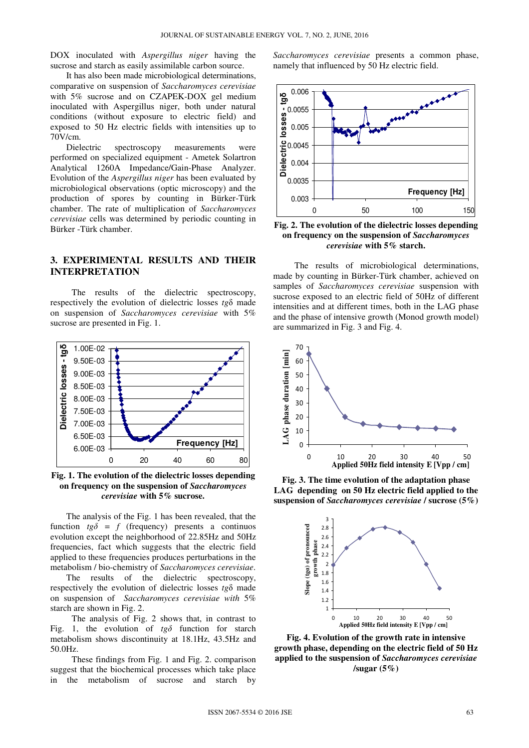DOX inoculated with *Aspergillus niger* having the sucrose and starch as easily assimilable carbon source.

It has also been made microbiological determinations, comparative on suspension of *Saccharomyces cerevisiae* with 5% sucrose and on CZAPEK-DOX gel medium inoculated with Aspergillus niger, both under natural conditions (without exposure to electric field) and exposed to 50 Hz electric fields with intensities up to 70V/cm.

Dielectric spectroscopy measurements were performed on specialized equipment - Ametek Solartron Analytical 1260A Impedance/Gain-Phase Analyzer. Evolution of the *Aspergillus niger* has been evaluated by microbiological observations (optic microscopy) and the production of spores by counting in Bürker-Türk chamber. The rate of multiplication of *Saccharomyces cerevisiae* cells was determined by periodic counting in Bürker -Türk chamber.

#### **3. EXPERIMENTAL RESULTS AND THEIR INTERPRETATION**

The results of the dielectric spectroscopy, respectively the evolution of dielectric losses *tg*δ made on suspension of *Saccharomyces cerevisiae* with 5% sucrose are presented in Fig. 1.



**Fig. 1. The evolution of the dielectric losses depending on frequency on the suspension of** *Saccharomyces cerevisiae* **with 5% sucrose.** 

The analysis of the Fig. 1 has been revealed, that the function  $tg\delta = f$  (frequency) presents a continuos evolution except the neighborhood of 22.85Hz and 50Hz frequencies, fact which suggests that the electric field applied to these frequencies produces perturbations in the metabolism / bio-chemistry of *Saccharomyces cerevisiae*.

The results of the dielectric spectroscopy, respectively the evolution of dielectric losses *tg*δ made on suspension of *Saccharomyces cerevisiae with* 5% starch are shown in Fig. 2.

The analysis of Fig. 2 shows that, in contrast to Fig. 1, the evolution of  $t g \delta$  function for starch metabolism shows discontinuity at 18.1Hz, 43.5Hz and 50.0Hz.

These findings from Fig. 1 and Fig. 2. comparison suggest that the biochemical processes which take place in the metabolism of sucrose and starch by

*Saccharomyces cerevisiae* presents a common phase, namely that influenced by 50 Hz electric field.



**Fig. 2. The evolution of the dielectric losses depending on frequency on the suspension of** *Saccharomyces cerevisiae* **with 5% starch.** 

The results of microbiological determinations, made by counting in Bürker-Türk chamber, achieved on samples of *Saccharomyces cerevisiae* suspension with sucrose exposed to an electric field of 50Hz of different intensities and at different times, both in the LAG phase and the phase of intensive growth (Monod growth model) are summarized in Fig. 3 and Fig. 4.



**Fig. 3. The time evolution of the adaptation phase LAG depending on 50 Hz electric field applied to the suspension of** *Saccharomyces cerevisiae* **/ sucrose (5%)** 



**Fig. 4. Evolution of the growth rate in intensive growth phase, depending on the electric field of 50 Hz applied to the suspension of** *Saccharomyces cerevisiae*  **/sugar (5%)**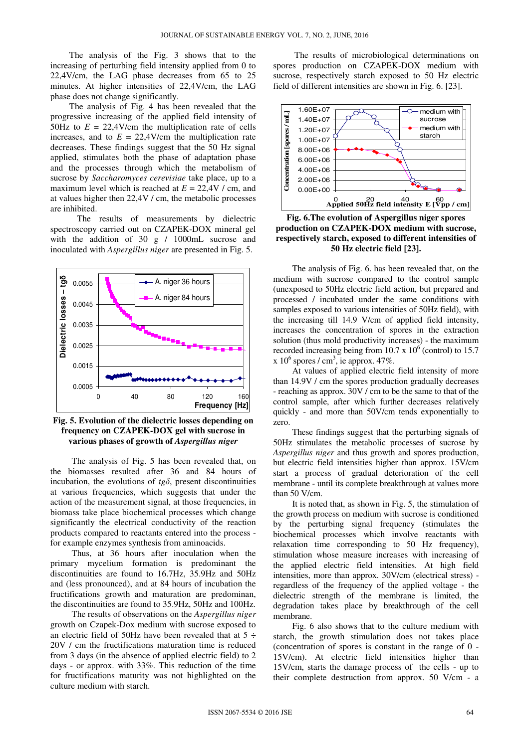The analysis of the Fig. 3 shows that to the increasing of perturbing field intensity applied from 0 to 22,4V/cm, the LAG phase decreases from 65 to 25 minutes. At higher intensities of 22,4V/cm, the LAG phase does not change significantly.

The analysis of Fig. 4 has been revealed that the progressive increasing of the applied field intensity of 50Hz to  $E = 22,4$ V/cm the multiplication rate of cells increases, and to  $E = 22.4$ V/cm the multiplication rate decreases. These findings suggest that the 50 Hz signal applied, stimulates both the phase of adaptation phase and the processes through which the metabolism of sucrose by *Saccharomyces cerevisiae* take place, up to a maximum level which is reached at  $E = 22.4V / cm$ , and at values higher then 22,4V / cm, the metabolic processes are inhibited.

The results of measurements by dielectric spectroscopy carried out on CZAPEK-DOX mineral gel with the addition of 30 g / 1000mL sucrose and inoculated with *Aspergillus niger* are presented in Fig. 5.



**Fig. 5. Evolution of the dielectric losses depending on frequency on CZAPEK-DOX gel with sucrose in various phases of growth of** *Aspergillus niger* 

The analysis of Fig. 5 has been revealed that, on the biomasses resulted after 36 and 84 hours of incubation, the evolutions of  $t g \delta$ , present discontinuities at various frequencies, which suggests that under the action of the measurement signal, at those frequencies, in biomass take place biochemical processes which change significantly the electrical conductivity of the reaction products compared to reactants entered into the process for example enzymes synthesis from aminoacids.

Thus, at 36 hours after inoculation when the primary mycelium formation is predominant the discontinuities are found to 16.7Hz, 35.9Hz and 50Hz and (less pronounced), and at 84 hours of incubation the fructifications growth and maturation are predominan, the discontinuities are found to 35.9Hz, 50Hz and 100Hz.

The results of observations on the *Aspergillus niger* growth on Czapek-Dox medium with sucrose exposed to an electric field of 50Hz have been revealed that at  $5 \div$ 20V / cm the fructifications maturation time is reduced from 3 days (in the absence of applied electric field) to 2 days - or approx. with 33%. This reduction of the time for fructifications maturity was not highlighted on the culture medium with starch.

The results of microbiological determinations on spores production on CZAPEK-DOX medium with sucrose, respectively starch exposed to 50 Hz electric field of different intensities are shown in Fig. 6. [23].



**Fig. 6.The evolution of Aspergillus niger spores production on CZAPEK-DOX medium with sucrose, respectively starch, exposed to different intensities of 50 Hz electric field [23].** 

The analysis of Fig. 6. has been revealed that, on the medium with sucrose compared to the control sample (unexposed to 50Hz electric field action, but prepared and processed / incubated under the same conditions with samples exposed to various intensities of 50Hz field), with the increasing till 14.9 V/cm of applied field intensity, increases the concentration of spores in the extraction solution (thus mold productivity increases) - the maximum recorded increasing being from  $10.7 \times 10^6$  (control) to 15.7  $x 10^6$  spores / cm<sup>3</sup>, ie approx. 47%.

At values of applied electric field intensity of more than 14.9V / cm the spores production gradually decreases - reaching as approx. 30V / cm to be the same to that of the control sample, after which further decreases relatively quickly - and more than 50V/cm tends exponentially to zero.

These findings suggest that the perturbing signals of 50Hz stimulates the metabolic processes of sucrose by *Aspergillus niger* and thus growth and spores production, but electric field intensities higher than approx. 15V/cm start a process of gradual deterioration of the cell membrane - until its complete breakthrough at values more than 50 V/cm.

It is noted that, as shown in Fig. 5, the stimulation of the growth process on medium with sucrose is conditioned by the perturbing signal frequency (stimulates the biochemical processes which involve reactants with relaxation time corresponding to 50 Hz frequency), stimulation whose measure increases with increasing of the applied electric field intensities. At high field intensities, more than approx. 30V/cm (electrical stress) regardless of the frequency of the applied voltage - the dielectric strength of the membrane is limited, the degradation takes place by breakthrough of the cell membrane.

Fig. 6 also shows that to the culture medium with starch, the growth stimulation does not takes place (concentration of spores is constant in the range of 0 - 15V/cm). At electric field intensities higher than 15V/cm, starts the damage process of the cells - up to their complete destruction from approx. 50 V/cm - a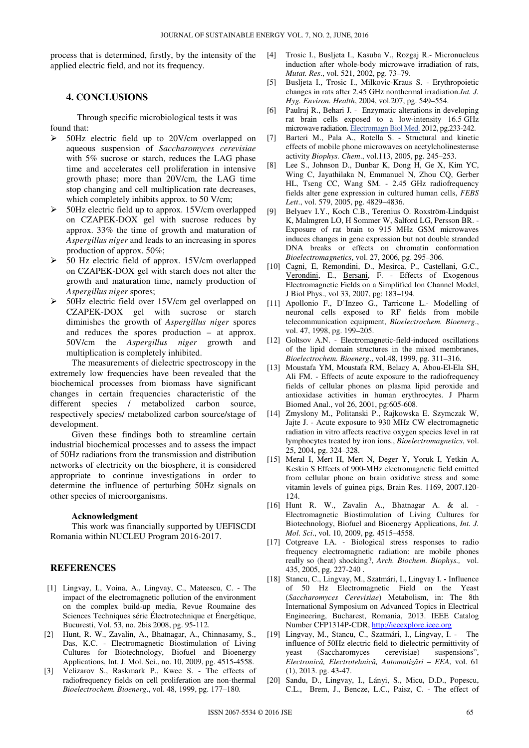process that is determined, firstly, by the intensity of the applied electric field, and not its frequency.

#### **4. CONCLUSIONS**

Through specific microbiological tests it was found that:

- 50Hz electric field up to 20V/cm overlapped on aqueous suspension of *Saccharomyces cerevisiae* with 5% sucrose or starch, reduces the LAG phase time and accelerates cell proliferation in intensive growth phase; more than 20V/cm, the LAG time stop changing and cell multiplication rate decreases, which completely inhibits approx. to 50 V/cm;
- $>$  50Hz electric field up to approx. 15V/cm overlapped on CZAPEK-DOX gel with sucrose reduces by approx. 33% the time of growth and maturation of *Aspergillus niger* and leads to an increasing in spores production of approx. 50%;
- 50 Hz electric field of approx. 15V/cm overlapped on CZAPEK-DOX gel with starch does not alter the growth and maturation time, namely production of *Aspergillus niger* spores;
- $>$  50Hz electric field over 15V/cm gel overlapped on CZAPEK-DOX gel with sucrose or starch diminishes the growth of *Aspergillus niger* spores and reduces the spores production – at approx. 50V/cm the *Aspergillus niger* growth and multiplication is completely inhibited.

The measurements of dielectric spectroscopy in the extremely low frequencies have been revealed that the biochemical processes from biomass have significant changes in certain frequencies characteristic of the different species / metabolized carbon source, respectively species/ metabolized carbon source/stage of development.

Given these findings both to streamline certain industrial biochemical processes and to assess the impact of 50Hz radiations from the transmission and distribution networks of electricity on the biosphere, it is considered appropriate to continue investigations in order to determine the influence of perturbing 50Hz signals on other species of microorganisms.

#### **Acknowledgment**

This work was financially supported by UEFISCDI Romania within NUCLEU Program 2016-2017.

#### **REFERENCES**

- [1] Lingvay, I., Voina, A., Lingvay, C., Mateescu, C. The impact of the electromagnetic pollution of the environment on the complex build-up media, Revue Roumaine des Sciences Techniques série Électrotechnique et Énergétique, Bucuresti, Vol. 53, no. 2bis 2008, pg. 95-112.
- [2] Hunt, R. W., Zavalin, A., Bhatnagar, A., Chinnasamy, S., Das, K.C. - Electromagnetic Biostimulation of Living Cultures for Biotechnology, Biofuel and Bioenergy Applications, Int. J. Mol. Sci., no. 10, 2009, pg. 4515-4558.
- [3] Velizarov S., Raskmark P., Kwee S. The effects of radiofrequency fields on cell proliferation are non-thermal *Bioelectrochem. Bioenerg*., vol. 48, 1999, pg. 177–180.
- [4] Trosic I., Busljeta I., Kasuba V., Rozgaj R.- Micronucleus induction after whole-body microwave irradiation of rats, *Mutat. Res*., vol. 521, 2002, pg. 73–79.
- [5] Busljeta I., Trosic I., Milkovic-Kraus S. Erythropoietic changes in rats after 2.45 GHz nonthermal irradiation.*Int. J. Hyg. Environ. Health*, 2004, vol.207, pg. 549–554.
- [6] Paulraj R., Behari J. Enzymatic alterations in developing rat brain cells exposed to a low-intensity 16.5 GHz microwave radiation. Electromagn Biol Med. 2012, pg.233-242.
- [7] Barteri M., Pala A., Rotella S. Structural and kinetic effects of mobile phone microwaves on acetylcholinesterase activity *Biophys. Chem*., vol.113, 2005, pg. 245–253.
- [8] Lee S., Johnson D., Dunbar K, Dong H, Ge X, Kim YC, Wing C, Jayathilaka N, Emmanuel N, Zhou CQ, Gerber HL, Tseng CC, Wang SM. - 2.45 GHz radiofrequency fields alter gene expression in cultured human cells, *FEBS Lett*., vol. 579, 2005, pg. 4829–4836.
- [9] Belyaev I.Y., Koch C.B., Terenius O. Roxström-Lindquist K, Malmgren LO, H Sommer W, Salford LG, Persson BR. - Exposure of rat brain to 915 MHz GSM microwaves induces changes in gene expression but not double stranded DNA breaks or effects on chromatin conformation *Bioelectromagnetics*, vol. 27, 2006, pg. 295–306.
- [10] Cagni, E, Remondini, D., Mesirca, P., Castellani, G.C., Verondini, E., Bersani, F. - Effects of Exogenous Electromagnetic Fields on a Simplified Ion Channel Model, J Biol Phys., vol 33, 2007, pg: 183–194.
- [11] Apollonio F., D'Inzeo G., Tarricone L.- Modelling of neuronal cells exposed to RF fields from mobile telecommunication equipment, *Bioelectrochem. Bioenerg*., vol. 47, 1998, pg. 199–205.
- [12] Goltsov A.N. Electromagnetic-field-induced oscillations of the lipid domain structures in the mixed membranes, *Bioelectrochem. Bioenerg*., vol.48, 1999, pg. 311–316.
- [13] Moustafa YM, Moustafa RM, Belacy A, Abou-El-Ela SH, Ali FM. - Effects of acute exposure to the radiofrequency fields of cellular phones on plasma lipid peroxide and antioxidase activities in human erythrocytes. J Pharm Biomed Anal., vol 26, 2001, pg:605-608.
- [14] Zmyslony M., Politanski P., Rajkowska E. Szymczak W, Jajte J. - Acute exposure to 930 MHz CW electromagnetic radiation in vitro affects reactive oxygen species level in rat lymphocytes treated by iron ions., *Bioelectromagnetics*, vol. 25, 2004, pg. 324–328.
- [15] Meral I, Mert H, Mert N, Deger Y, Yoruk I, Yetkin A, Keskin S Effects of 900-MHz electromagnetic field emitted from cellular phone on brain oxidative stress and some vitamin levels of guinea pigs, Brain Res. 1169, 2007.120- 124.
- [16] Hunt R. W., Zavalin A., Bhatnagar A. & al. Electromagnetic Biostimulation of Living Cultures for Biotechnology, Biofuel and Bioenergy Applications, *Int. J. Mol. Sci*., vol. 10, 2009, pg. 4515–4558.
- [17] Cotgreave I.A. Biological stress responses to radio frequency electromagnetic radiation: are mobile phones really so (heat) shocking?, *Arch. Biochem. Biophys.,* vol. 435, 2005, pg. 227-240 .
- [18] Stancu, C., Lingvay, M., Szatmári, I., Lingvay I. **-** Influence of 50 Hz Electromagnetic Field on the Yeast (*Saccharomyces Cerevisiae*) Metabolism, in: The 8th International Symposium on Advanced Topics in Electrical Engineering, Bucharest, Romania, 2013. IEEE Catalog Number CFP1314P-CDR, http://ieeexplore.ieee.org
- [19] Lingvay, M., Stancu, C., Szatmári, I., Lingvay, I. The influence of 50Hz electric field to dielectric permittivity of yeast (Saccharomyces cerevisiae) suspensions", *Electronică, Electrotehnică, Automatizări – EEA*, vol. 61 (1), 2013. pg. 43-47.
- [20] Sandu, D., Lingvay, I., Lányi, S., Micu, D.D., Popescu, C.L., Brem, J., Bencze, L.C., Paisz, C. - The effect of